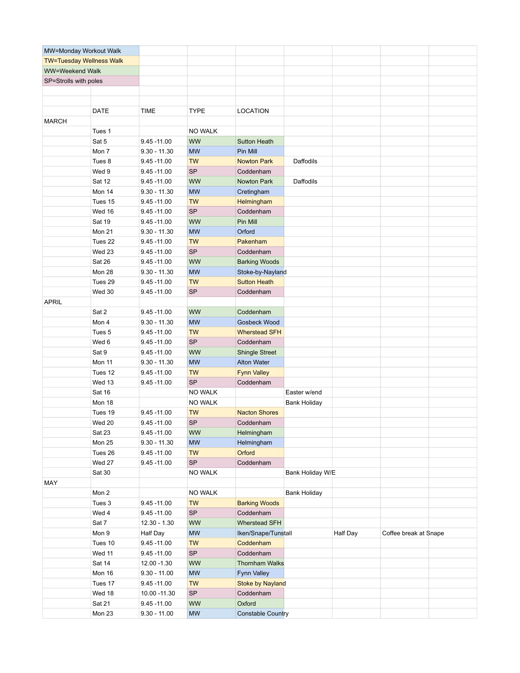| MW=Monday Workout Walk          |             |                |                |                          |                     |          |                       |  |
|---------------------------------|-------------|----------------|----------------|--------------------------|---------------------|----------|-----------------------|--|
| <b>TW=Tuesday Wellness Walk</b> |             |                |                |                          |                     |          |                       |  |
| WW=Weekend Walk                 |             |                |                |                          |                     |          |                       |  |
| SP=Strolls with poles           |             |                |                |                          |                     |          |                       |  |
|                                 |             |                |                |                          |                     |          |                       |  |
|                                 |             |                |                |                          |                     |          |                       |  |
|                                 | <b>DATE</b> | <b>TIME</b>    | <b>TYPE</b>    | <b>LOCATION</b>          |                     |          |                       |  |
| <b>MARCH</b>                    |             |                |                |                          |                     |          |                       |  |
|                                 | Tues 1      |                | <b>NO WALK</b> |                          |                     |          |                       |  |
|                                 | Sat 5       | $9.45 - 11.00$ | <b>WW</b>      | <b>Sutton Heath</b>      |                     |          |                       |  |
|                                 | Mon 7       | $9.30 - 11.30$ | <b>MW</b>      | Pin Mill                 |                     |          |                       |  |
|                                 | Tues 8      | $9.45 - 11.00$ | <b>TW</b>      | <b>Nowton Park</b>       | Daffodils           |          |                       |  |
|                                 | Wed 9       | $9.45 - 11.00$ | <b>SP</b>      | Coddenham                |                     |          |                       |  |
|                                 | Sat 12      | $9.45 - 11.00$ | <b>WW</b>      | Nowton Park              | Daffodils           |          |                       |  |
|                                 | Mon 14      | $9.30 - 11.30$ | <b>MW</b>      | Cretingham               |                     |          |                       |  |
|                                 | Tues 15     | $9.45 - 11.00$ | <b>TW</b>      | Helmingham               |                     |          |                       |  |
|                                 | Wed 16      | $9.45 - 11.00$ | <b>SP</b>      | Coddenham                |                     |          |                       |  |
|                                 | Sat 19      | $9.45 - 11.00$ | <b>WW</b>      | Pin Mill                 |                     |          |                       |  |
|                                 | Mon 21      | $9.30 - 11.30$ | <b>MW</b>      | Orford                   |                     |          |                       |  |
|                                 | Tues 22     | $9.45 - 11.00$ | <b>TW</b>      | Pakenham                 |                     |          |                       |  |
|                                 | Wed 23      | $9.45 - 11.00$ | <b>SP</b>      | Coddenham                |                     |          |                       |  |
|                                 | Sat 26      |                | <b>WW</b>      |                          |                     |          |                       |  |
|                                 | Mon 28      | $9.45 - 11.00$ |                | <b>Barking Woods</b>     |                     |          |                       |  |
|                                 |             | $9.30 - 11.30$ | <b>MW</b>      | Stoke-by-Nayland         |                     |          |                       |  |
|                                 | Tues 29     | $9.45 - 11.00$ | <b>TW</b>      | <b>Sutton Heath</b>      |                     |          |                       |  |
|                                 | Wed 30      | $9.45 - 11.00$ | <b>SP</b>      | Coddenham                |                     |          |                       |  |
| <b>APRIL</b>                    |             |                |                |                          |                     |          |                       |  |
|                                 | Sat 2       | $9.45 - 11.00$ | <b>WW</b>      | Coddenham                |                     |          |                       |  |
|                                 | Mon 4       | $9.30 - 11.30$ | <b>MW</b>      | Gosbeck Wood             |                     |          |                       |  |
|                                 | Tues 5      | $9.45 - 11.00$ | <b>TW</b>      | <b>Wherstead SFH</b>     |                     |          |                       |  |
|                                 | Wed 6       | $9.45 - 11.00$ | <b>SP</b>      | Coddenham                |                     |          |                       |  |
|                                 | Sat 9       | $9.45 - 11.00$ | <b>WW</b>      | <b>Shingle Street</b>    |                     |          |                       |  |
|                                 | Mon 11      | $9.30 - 11.30$ | <b>MW</b>      | <b>Alton Water</b>       |                     |          |                       |  |
|                                 | Tues 12     | $9.45 - 11.00$ | <b>TW</b>      | <b>Fynn Valley</b>       |                     |          |                       |  |
|                                 | Wed 13      | $9.45 - 11.00$ | <b>SP</b>      | Coddenham                |                     |          |                       |  |
|                                 | Sat 16      |                | <b>NO WALK</b> |                          | Easter w/end        |          |                       |  |
|                                 | Mon 18      |                | <b>NO WALK</b> |                          | <b>Bank Holiday</b> |          |                       |  |
|                                 | Tues 19     | $9.45 - 11.00$ | <b>TW</b>      | <b>Nacton Shores</b>     |                     |          |                       |  |
|                                 | Wed 20      | $9.45 - 11.00$ | <b>SP</b>      | Coddenham                |                     |          |                       |  |
|                                 | Sat 23      | $9.45 - 11.00$ | <b>WW</b>      | Helmingham               |                     |          |                       |  |
|                                 | Mon 25      | $9.30 - 11.30$ | <b>MW</b>      | Helmingham               |                     |          |                       |  |
|                                 | Tues 26     | $9.45 - 11.00$ | <b>TW</b>      | Orford                   |                     |          |                       |  |
|                                 | Wed 27      | $9.45 - 11.00$ | SP             | Coddenham                |                     |          |                       |  |
|                                 | Sat 30      |                | <b>NO WALK</b> |                          | Bank Holiday W/E    |          |                       |  |
| MAY                             |             |                |                |                          |                     |          |                       |  |
|                                 | Mon 2       |                | <b>NO WALK</b> |                          | <b>Bank Holiday</b> |          |                       |  |
|                                 | Tues 3      | $9.45 - 11.00$ | <b>TW</b>      | <b>Barking Woods</b>     |                     |          |                       |  |
|                                 | Wed 4       | $9.45 - 11.00$ | SP             | Coddenham                |                     |          |                       |  |
|                                 | Sat 7       | $12.30 - 1.30$ | <b>WW</b>      | <b>Wherstead SFH</b>     |                     |          |                       |  |
|                                 | Mon 9       | Half Day       | <b>MW</b>      | Iken/Snape/Tunstall      |                     | Half Day | Coffee break at Snape |  |
|                                 | Tues 10     | $9.45 - 11.00$ | <b>TW</b>      | Coddenham                |                     |          |                       |  |
|                                 | Wed 11      | $9.45 - 11.00$ | <b>SP</b>      | Coddenham                |                     |          |                       |  |
|                                 | Sat 14      | 12.00 -1.30    | <b>WW</b>      | <b>Thornham Walks</b>    |                     |          |                       |  |
|                                 | Mon 16      | $9.30 - 11.00$ | <b>MW</b>      | Fynn Valley              |                     |          |                       |  |
|                                 | Tues 17     | $9.45 - 11.00$ | <b>TW</b>      | <b>Stoke by Nayland</b>  |                     |          |                       |  |
|                                 | Wed 18      | 10.00 - 11.30  | SP             | Coddenham                |                     |          |                       |  |
|                                 | Sat 21      | $9.45 - 11.00$ | <b>WW</b>      | Oxford                   |                     |          |                       |  |
|                                 | Mon 23      | $9.30 - 11.00$ | <b>MW</b>      | <b>Constable Country</b> |                     |          |                       |  |